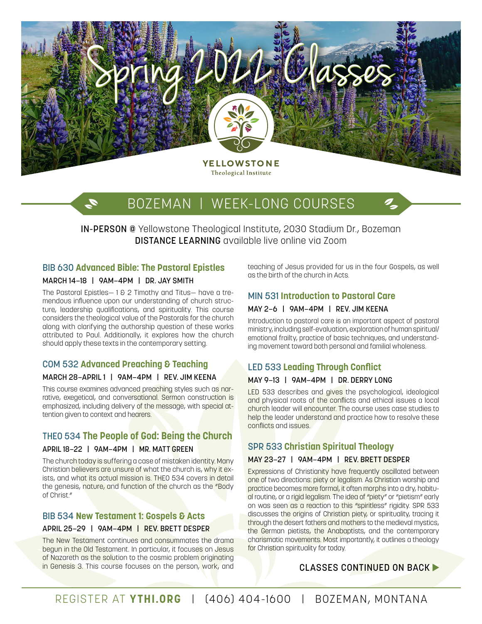

# BOZEMAN | WEEK-LONG COURSES

IN-PERSON @ Yellowstone Theological Institute, 2030 Stadium Dr., Bozeman DISTANCE LEARNING available live online via Zoom

# BIB 630 **Advanced Bible: The Pastoral Epistles**

#### MARCH 14–18 | 9AM–4PM | DR. JAY SMITH

I.

The Pastoral Epistles - 1 & 2 Timothy and Titus - have a tremendous influence upon our understanding of church structure, leadership qualifications, and spirituality. This course considers the theological value of the Pastorals for the church along with clarifying the authorship question of these works attributed to Paul. Additionally, it explores how the church should apply these texts in the contemporary setting.

# COM 532 **Advanced Preaching & Teaching**  MARCH 28–APRIL 1 | 9AM–4PM | REV. JIM KEENA

This course examines advanced preaching styles such as narrative, exegetical, and conversational. Sermon construction is emphasized, including delivery of the message, with special attention given to context and hearers.

# THEO 534 **The People of God: Being the Church**

#### APRIL 18–22 | 9AM–4PM | MR. MATT GREEN

The church today is suffering a case of mistaken identity. Many Christian believers are unsure of what the church is, why it exists, and what its actual mission is. THEO 534 covers in detail the genesis, nature, and function of the church as the "Body of Christ."

# BIB 534 **New Testament 1: Gospels & Acts**

# APRIL 25–29 | 9AM–4PM | REV. BRETT DESPER

The New Testament continues and consummates the drama begun in the Old Testament. In particular, it focuses on Jesus of Nazareth as the solution to the cosmic problem originating in Genesis 3. This course focuses on the person, work, and

teaching of Jesus provided for us in the four Gospels, as well as the birth of the church in Acts.

# MIN 531 **Introduction to Pastoral Care**

#### MAY 2–6 | 9AM–4PM | REV. JIM KEENA

Introduction to pastoral care is an important aspect of pastoral ministry, including self-evaluation, exploration of human spiritual/ emotional frailty, practice of basic techniques, and understanding movement toward both personal and familial wholeness.

# LED 533 **Leading Through Conflict**

#### MAY 9–13 | 9AM–4PM | DR. DERRY LONG

LED 533 describes and gives the psychological, ideological and physical roots of the conflicts and ethical issues a local church leader will encounter. The course uses case studies to help the leader understand and practice how to resolve these conflicts and issues.

# SPR 533 **Christian Spiritual Theology**

# MAY 23–27 | 9AM–4PM | REV. BRETT DESPER

Expressions of Christianity have frequently oscillated between one of two directions: piety or legalism. As Christian worship and practice becomes more formal, it often morphs into a dry, habitual routine, or a rigid legalism. The idea of "piety" or "pietism" early on was seen as a reaction to this "spiritless" rigidity. SPR 533 discusses the origins of Christian piety, or spirituality, tracing it through the desert fathers and mothers to the medieval mystics, the German pietists, the Anabaptists, and the contemporary charismatic movements. Most importantly, it outlines a theology for Christian spirituality for today.

# CLASSES CONTINUED ON BACK